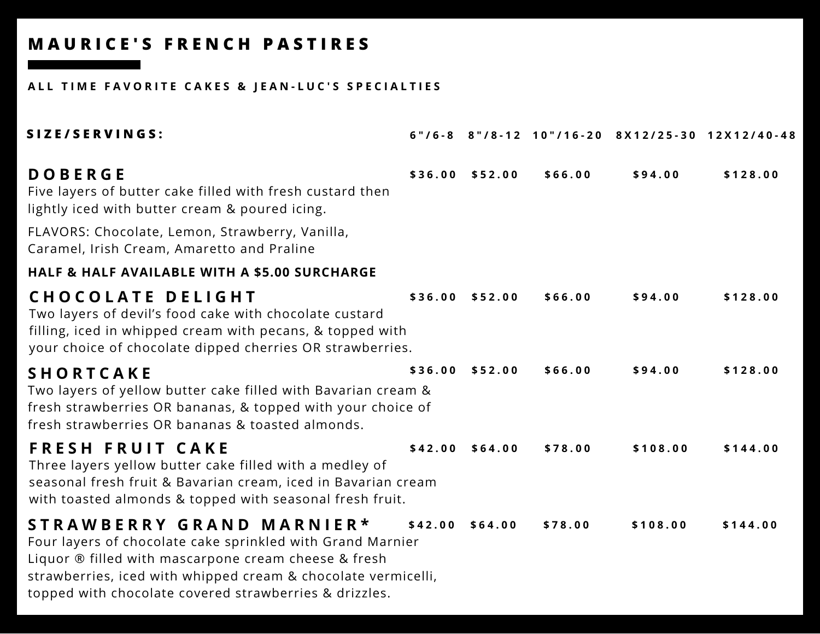### ALL TIME FAVORITE CAKES & JEAN-LUC'S SPECIALTIES

| SIZE/SERVINGS:                                                                                                                                                                                                                                                             |         |                  |         |          | 6"/6-8 8"/8-12 10"/16-20 8X12/25-30 12X12/40-48 |
|----------------------------------------------------------------------------------------------------------------------------------------------------------------------------------------------------------------------------------------------------------------------------|---------|------------------|---------|----------|-------------------------------------------------|
| <b>DOBERGE</b><br>Five layers of butter cake filled with fresh custard then<br>lightly iced with butter cream & poured icing.                                                                                                                                              |         | \$36.00 \$52.00  | \$66.00 | \$94.00  | \$128.00                                        |
| FLAVORS: Chocolate, Lemon, Strawberry, Vanilla,<br>Caramel, Irish Cream, Amaretto and Praline                                                                                                                                                                              |         |                  |         |          |                                                 |
| <b>HALF &amp; HALF AVAILABLE WITH A \$5.00 SURCHARGE</b>                                                                                                                                                                                                                   |         |                  |         |          |                                                 |
| <b>CHOCOLATE DELIGHT</b><br>Two layers of devil's food cake with chocolate custard<br>filling, iced in whipped cream with pecans, & topped with<br>your choice of chocolate dipped cherries OR strawberries.                                                               |         | \$36.00 \$52.00  | \$66.00 | \$94.00  | \$128.00                                        |
| <b>SHORTCAKE</b><br>Two layers of yellow butter cake filled with Bavarian cream &<br>fresh strawberries OR bananas, & topped with your choice of<br>fresh strawberries OR bananas & toasted almonds.                                                                       | \$36.00 | \$52.00          | \$66.00 | \$94.00  | \$128.00                                        |
| <b>FRESH FRUIT CAKE</b><br>Three layers yellow butter cake filled with a medley of<br>seasonal fresh fruit & Bavarian cream, iced in Bavarian cream<br>with toasted almonds & topped with seasonal fresh fruit.                                                            |         | $$42.00$ \$64.00 | \$78.00 | \$108.00 | \$144.00                                        |
| STRAWBERRY GRAND MARNIER*<br>Four layers of chocolate cake sprinkled with Grand Marnier<br>Liquor ® filled with mascarpone cream cheese & fresh<br>strawberries, iced with whipped cream & chocolate vermicelli,<br>topped with chocolate covered strawberries & drizzles. | \$42.00 | \$64.00          | \$78.00 | \$108.00 | \$144.00                                        |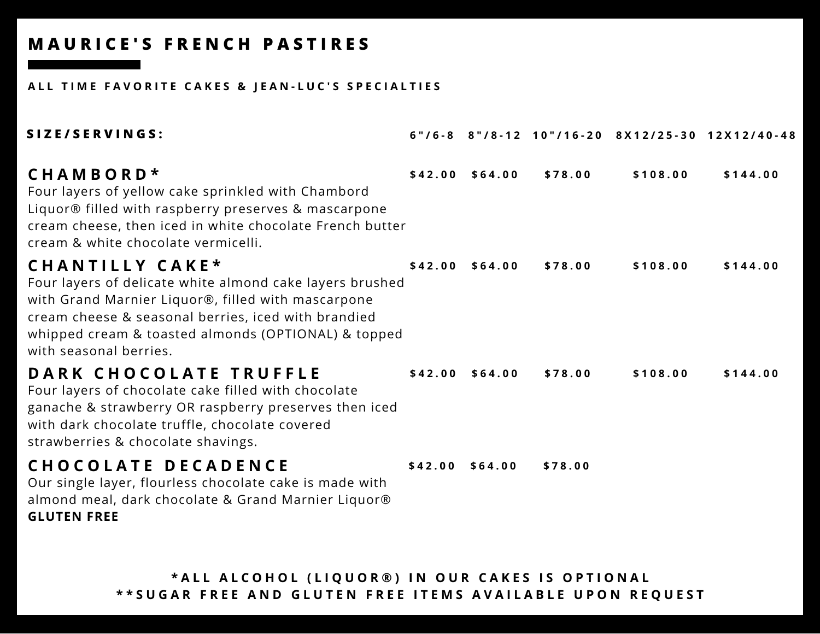#### ALL TIME FAVORITE CAKES & JEAN-LUC'S SPECIALTIES

| SIZE/SERVINGS:                                                                                                                                                                                                                                                            |                  |         |          | 6"/6-8 8"/8-12 10"/16-20 8X12/25-30 12X12/40-48 |
|---------------------------------------------------------------------------------------------------------------------------------------------------------------------------------------------------------------------------------------------------------------------------|------------------|---------|----------|-------------------------------------------------|
| CHAMBORD*<br>Four layers of yellow cake sprinkled with Chambord<br>Liquor® filled with raspberry preserves & mascarpone<br>cream cheese, then iced in white chocolate French butter<br>cream & white chocolate vermicelli.                                                | $$42.00$ \$64.00 | \$78.00 | \$108.00 | \$144.00                                        |
| CHANTILLY CAKE*<br>Four layers of delicate white almond cake layers brushed<br>with Grand Marnier Liquor®, filled with mascarpone<br>cream cheese & seasonal berries, iced with brandied<br>whipped cream & toasted almonds (OPTIONAL) & topped<br>with seasonal berries. | $$42.00$ \$64.00 | \$78.00 | \$108.00 | \$144.00                                        |
| DARK CHOCOLATE TRUFFLE<br>Four layers of chocolate cake filled with chocolate<br>ganache & strawberry OR raspberry preserves then iced<br>with dark chocolate truffle, chocolate covered<br>strawberries & chocolate shavings.                                            | $$42.00$ \$64.00 | \$78.00 | \$108.00 | \$144.00                                        |
| <b>CHOCOLATE DECADENCE</b><br>Our single layer, flourless chocolate cake is made with<br>almond meal, dark chocolate & Grand Marnier Liquor®<br><b>GLUTEN FREE</b>                                                                                                        | $$42.00$ \$64.00 | \$78.00 |          |                                                 |

\*ALL ALCOHOL (LIQUOR®) IN OUR CAKES IS OPTIONAL \*\* SUGAR FREE AND GLUTEN FREE ITEMS AVAILABLE UPON REQUEST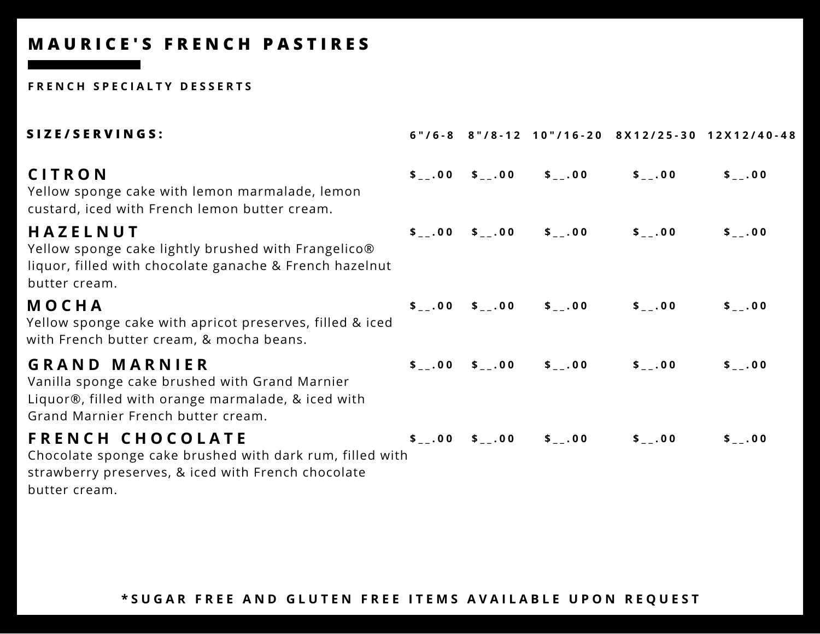#### **F R E N C H S P E C I A L T Y D E S S E R T S**

| SIZE/SERVINGS:                                                                                                                                                     |  |                                                                             |                                                                                           | 6"/6-8 8"/8-12 10"/16-20 8X12/25-30 12X12/40-48 |
|--------------------------------------------------------------------------------------------------------------------------------------------------------------------|--|-----------------------------------------------------------------------------|-------------------------------------------------------------------------------------------|-------------------------------------------------|
| CITRON<br>Yellow sponge cake with lemon marmalade, lemon<br>custard, iced with French lemon butter cream.                                                          |  | $\frac{1}{2}$ , 00 $\frac{1}{2}$ , 00 $\frac{1}{2}$ , 00                    | $$^{\circ}$$ $\sim$ 0.0                                                                   | $$_{-}$ .00                                     |
| HAZELNUT<br>Yellow sponge cake lightly brushed with Frangelico®<br>liquor, filled with chocolate ganache & French hazelnut<br>butter cream.                        |  | $\frac{1}{2}$ , 00 $\frac{1}{2}$ , 00 $\frac{1}{2}$ , 00                    | $\frac{1}{2}$ .00                                                                         | $$_{--}.00$                                     |
| MOCHA<br>Yellow sponge cake with apricot preserves, filled & iced<br>with French butter cream, & mocha beans.                                                      |  | $\frac{1}{2}$ , 00 $\frac{1}{2}$ , 00 $\frac{1}{2}$ , 00 $\frac{1}{2}$ , 00 |                                                                                           | $$_{--}.00$                                     |
| <b>GRAND MARNIER</b><br>Vanilla sponge cake brushed with Grand Marnier<br>Liquor®, filled with orange marmalade, & iced with<br>Grand Marnier French butter cream. |  | $\frac{1}{2}$ .00 \$ .00 \$ .00                                             | $\frac{1}{2}$ .00                                                                         | $$-.00$                                         |
| <b>FRENCH CHOCOLATE</b><br>Chocolate sponge cake brushed with dark rum, filled with<br>strawberry preserves, & iced with French chocolate<br>butter cream.         |  |                                                                             | $\frac{1}{2}$ , 00 $\frac{1}{2}$ , 00 $\frac{1}{2}$ , 00 $\frac{1}{2}$ , 00 $\frac{1}{2}$ | $$-.00$                                         |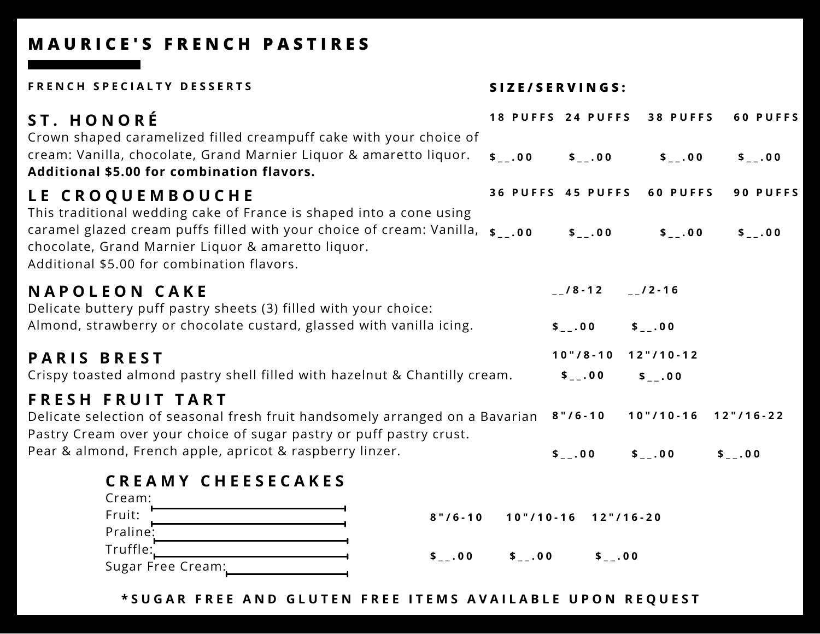FRENCH SPECIALTY DESSERTS SIZE/SERVINGS:

| ST. HONORÉ<br>Crown shaped caramelized filled creampuff cake with your choice of<br>cream: Vanilla, chocolate, Grand Marnier Liquor & amaretto liquor.                                                                                                                                        | $$-.00$     | 18 PUFFS 24 PUFFS<br>$$-.00$               | 38 PUFFS<br>$$-.00$             | 60 PUFFS<br>$$-.00$ |
|-----------------------------------------------------------------------------------------------------------------------------------------------------------------------------------------------------------------------------------------------------------------------------------------------|-------------|--------------------------------------------|---------------------------------|---------------------|
| <b>Additional \$5.00 for combination flavors.</b>                                                                                                                                                                                                                                             |             |                                            |                                 |                     |
| <b>LE CROQUEMBOUCHE</b><br>This traditional wedding cake of France is shaped into a cone using<br>caramel glazed cream puffs filled with your choice of cream: Vanilla, $\frac{1}{2}$ .00<br>chocolate, Grand Marnier Liquor & amaretto liquor.<br>Additional \$5.00 for combination flavors. |             | 36 PUFFS 45 PUFFS<br>$$-.00$               | 60 PUFFS<br>$$-.00$             | 90 PUFFS<br>$$-.00$ |
| <b>NAPOLEON CAKE</b><br>Delicate buttery puff pastry sheets (3) filled with your choice:<br>Almond, strawberry or chocolate custard, glassed with vanilla icing.                                                                                                                              |             | $-18 - 12$<br>$$_{-}$ .00                  | $-12 - 16$<br>$$_{-}$ .00       |                     |
| <b>PARIS BREST</b><br>Crispy toasted almond pastry shell filled with hazelnut & Chantilly cream.                                                                                                                                                                                              |             | $10" / 8 - 10$<br>$$_{-}$ .00              | $12" / 10 - 12$                 |                     |
|                                                                                                                                                                                                                                                                                               |             |                                            | $$-.00$                         |                     |
| FRESH FRUIT TART<br>Delicate selection of seasonal fresh fruit handsomely arranged on a Bavarian<br>Pastry Cream over your choice of sugar pastry or puff pastry crust.                                                                                                                       |             | $8" / 6 - 10$                              | $10" / 10 - 16$ $12" / 16 - 22$ |                     |
| Pear & almond, French apple, apricot & raspberry linzer.                                                                                                                                                                                                                                      |             | $$-.00$                                    | $$-.00$                         | \$.00               |
| <b>CREAMY CHEESECAKES</b><br>Cream:<br>Fruit:<br>$8" / 6 - 10$<br>Praline:<br>Truffle:<br>$$_{-}$ .00                                                                                                                                                                                         | $$_{-}$ .00 | $10" / 10 - 16$ $12" / 16 - 20$<br>$$-.00$ |                                 |                     |
| Sugar Free Cream:                                                                                                                                                                                                                                                                             |             |                                            |                                 |                     |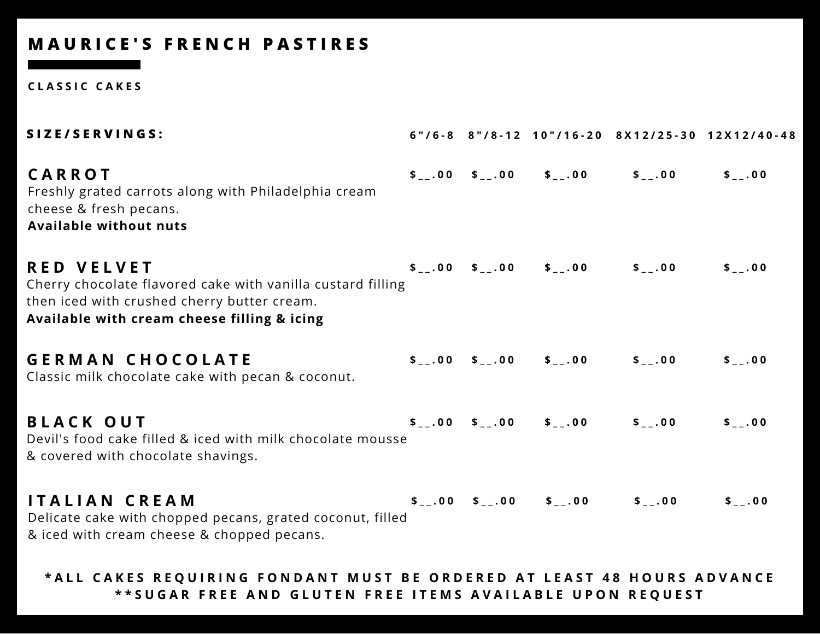**C L A S S I C C A K E S**

| SIZE/SERVINGS:                                                                                                                                                                 |  |                                                                                           | 6"/6-8 8"/8-12 10"/16-20 8X12/25-30 12X12/40-48 |
|--------------------------------------------------------------------------------------------------------------------------------------------------------------------------------|--|-------------------------------------------------------------------------------------------|-------------------------------------------------|
| <b>CARROT</b><br>Freshly grated carrots along with Philadelphia cream<br>cheese & fresh pecans.<br><b>Available without nuts</b>                                               |  | $\frac{1}{2}$ , 00 $\frac{1}{2}$ , 00 $\frac{1}{2}$ , 00 $\frac{1}{2}$ , 00               | $$_{-}$ .00                                     |
| <b>RED VELVET</b><br>Cherry chocolate flavored cake with vanilla custard filling<br>then iced with crushed cherry butter cream.<br>Available with cream cheese filling & icing |  | $\frac{1}{2}$ , 00 $\frac{1}{2}$ , 00 $\frac{1}{2}$ , 00 $\frac{1}{2}$ , 00 $\frac{1}{2}$ | \$.00                                           |
| <b>GERMAN CHOCOLATE</b><br>Classic milk chocolate cake with pecan & coconut.                                                                                                   |  | $\frac{1}{2}$ , 00 $\frac{1}{2}$ , 00 $\frac{1}{2}$ , 00 $\frac{1}{2}$ , 00 $\frac{1}{2}$ | $$-.00$                                         |
| <b>BLACK OUT</b><br>Devil's food cake filled & iced with milk chocolate mousse<br>& covered with chocolate shavings.                                                           |  | $\frac{1}{2}$ , 00 $\frac{1}{2}$ , 00 $\frac{1}{2}$ , 00 $\frac{1}{2}$ , 00               | $$_{-}$ .00                                     |
| <b>ITALIAN CREAM</b><br>Delicate cake with chopped pecans, grated coconut, filled<br>& iced with cream cheese & chopped pecans.                                                |  | $\frac{1}{2}$ , 00 $\frac{1}{2}$ , 00 $\frac{1}{2}$ , 00 $\frac{1}{2}$ , 00 $\frac{1}{2}$ | $$-.00$                                         |

#### \*ALL CAKES REQUIRING FONDANT MUST BE ORDERED AT LEAST 48 HOURS ADVANCE \*\*SUGAR FREE AND GLUTEN FREE ITEMS AVAILABLE UPON REQUEST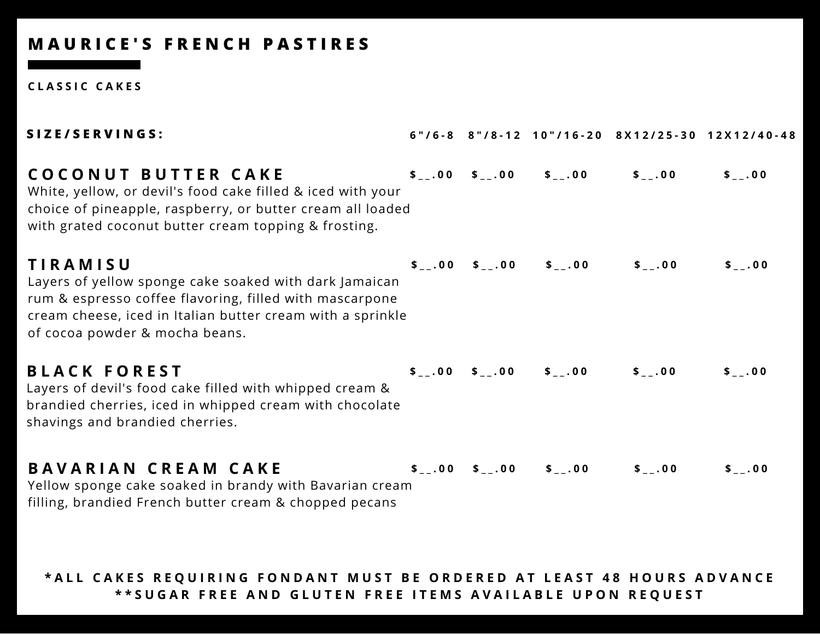**C L A S S I C C A K E S**

| SIZE/SERVINGS:                                                                                                                                                                                                                       |  |                                                          |                                                                                           | 6"/6-8 8"/8-12 10"/16-20 8X12/25-30 12X12/40-48 |
|--------------------------------------------------------------------------------------------------------------------------------------------------------------------------------------------------------------------------------------|--|----------------------------------------------------------|-------------------------------------------------------------------------------------------|-------------------------------------------------|
| COCONUT BUTTER CAKE<br>White, yellow, or devil's food cake filled & iced with your<br>choice of pineapple, raspberry, or butter cream all loaded<br>with grated coconut butter cream topping & frosting.                             |  |                                                          | $\frac{1}{2}$ , 00 $\frac{1}{2}$ , 00 $\frac{1}{2}$ , 00 $\frac{1}{2}$ , 00 $\frac{1}{2}$ | $$_{-}$ .00                                     |
| <b>TIRAMISU</b><br>Layers of yellow sponge cake soaked with dark Jamaican<br>rum & espresso coffee flavoring, filled with mascarpone<br>cream cheese, iced in Italian butter cream with a sprinkle<br>of cocoa powder & mocha beans. |  |                                                          | $\frac{1}{2}$ , 00 $\frac{1}{2}$ , 00 $\frac{1}{2}$ , 00 $\frac{1}{2}$ , 00 $\frac{1}{2}$ | $$_{-}$ .00                                     |
| <b>BLACK FOREST</b><br>Layers of devil's food cake filled with whipped cream &<br>brandied cherries, iced in whipped cream with chocolate<br>shavings and brandied cherries.                                                         |  |                                                          | $\frac{1}{2}$ , 00 $\frac{1}{2}$ , 00 $\frac{1}{2}$ , 00 $\frac{1}{2}$ , 00               | $$_{--}.00$                                     |
| <b>BAVARIAN CREAM CAKE</b><br>Yellow sponge cake soaked in brandy with Bavarian cream<br>filling, brandied French butter cream & chopped pecans                                                                                      |  | $\frac{1}{2}$ , 00 $\frac{1}{2}$ , 00 $\frac{1}{2}$ , 00 | $S_{-}$ .00                                                                               | $$-.00$                                         |

#### \*ALL CAKES REQUIRING FONDANT MUST BE ORDERED AT LEAST 48 HOURS ADVANCE \*\*SUGAR FREE AND GLUTEN FREE ITEMS AVAILABLE UPON REQUEST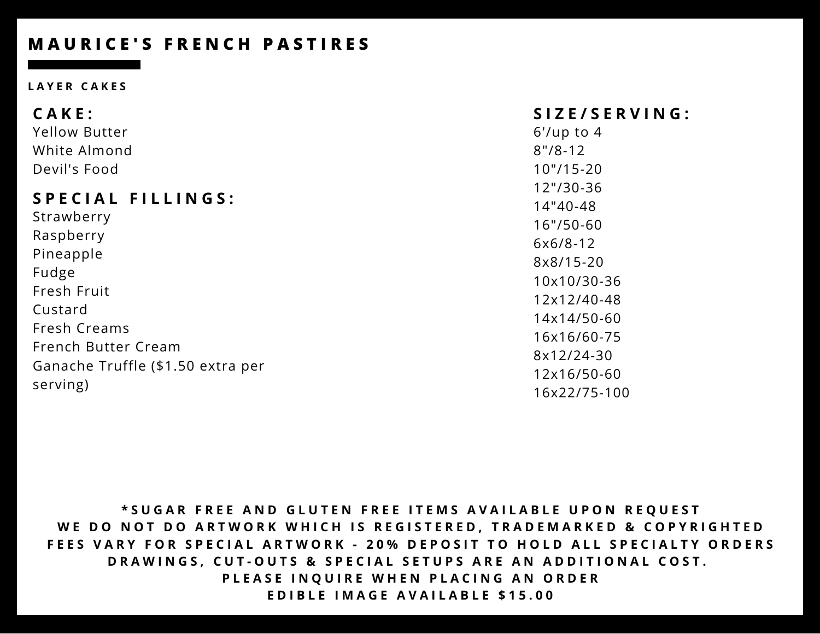#### **L A Y E R C A K E S**

| CAKE:                             | SIZE/SERVING:  |
|-----------------------------------|----------------|
| <b>Yellow Butter</b>              | $6'/up$ to 4   |
| White Almond                      | $8''/8-12$     |
| Devil's Food                      | $10''/15 - 20$ |
|                                   | 12"/30-36      |
| <b>SPECIAL FILLINGS:</b>          | 14"40-48       |
| Strawberry                        | $16''/50-60$   |
| Raspberry                         | $6x6/8-12$     |
| Pineapple                         | 8x8/15-20      |
| Fudge                             | 10x10/30-36    |
| Fresh Fruit                       | 12x12/40-48    |
| Custard                           | 14x14/50-60    |
| Fresh Creams                      | 16x16/60-75    |
| French Butter Cream               | 8x12/24-30     |
| Ganache Truffle (\$1.50 extra per | 12x16/50-60    |
| serving)                          | 16x22/75-100   |

\*SUGAR FREE AND GLUTEN FREE ITEMS AVAILABLE UPON REQUEST WE DO NOT DO ARTWORK WHICH IS REGISTERED, TRADEMARKED & COPYRIGHTED FEES VARY FOR SPECIAL ARTWORK - 20% DEPOSIT TO HOLD ALL SPECIALTY ORDERS DRAWINGS, CUT-OUTS & SPECIAL SETUPS ARE AN ADDITIONAL COST. PLEASE INQUIRE WHEN PLACING AN ORDER **EDIBLE IMAGE AVAILABLE \$15.00**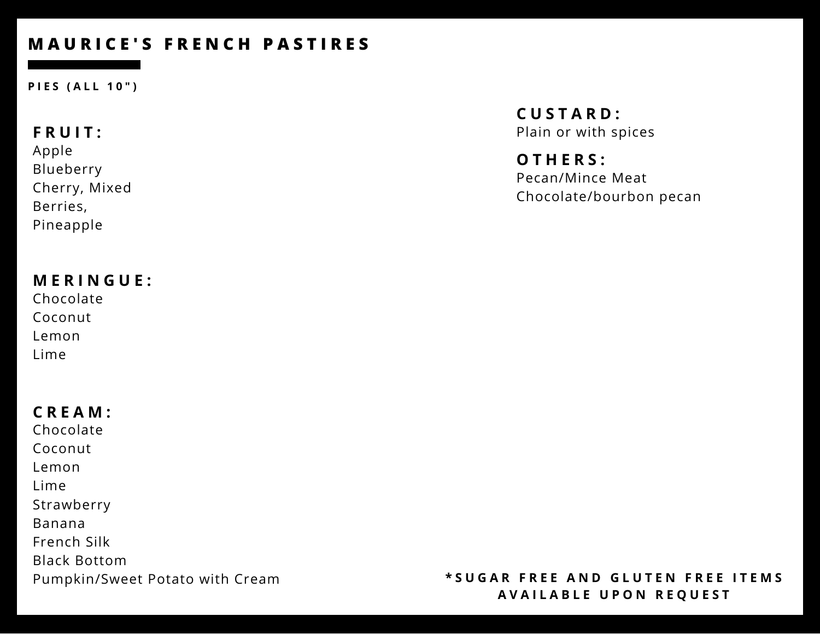**P I E S ( A L L 1 0 " )**

### **F R U I T :**

Apple Blueberry Cherry, Mixed Berries, Pineapple

### **M E R I N G U E :**

Chocolate Coconut Lemon Lime

## **C R E A M :**

Chocolate Coconut Lemon Lime Strawberry Banana French Silk Black Bottom Pumpkin/Sweet Potato with Cream **C U S T A R D :** Plain or with spices

**O T H E R S :** Pecan/Mince Meat Chocolate/bourbon pecan

#### \*SUGAR FREE AND GLUTEN FREE ITEMS **A V A I L A B L E U P O N R E Q U E S T**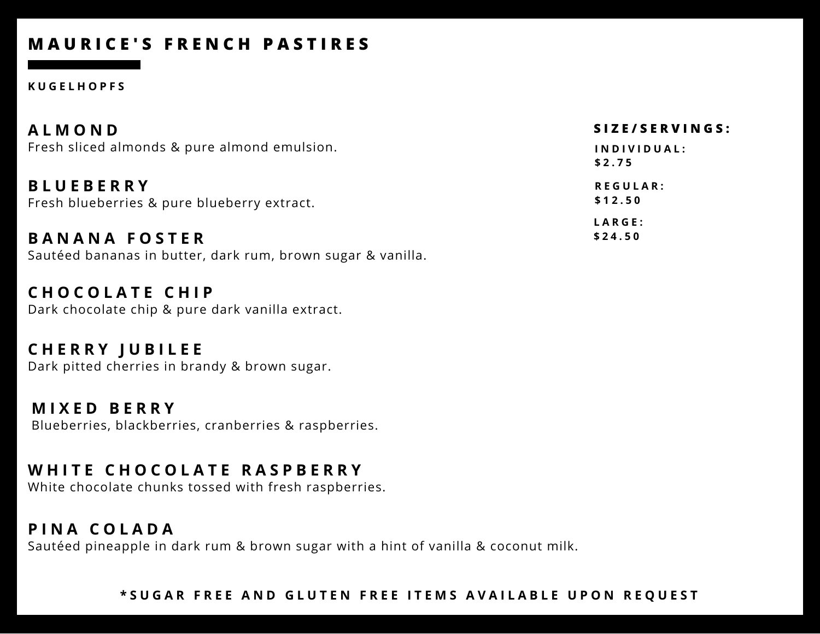#### **K U G E L H O P F S**

| <b>ALMOND</b>                                                   | SIZE/SERVINGS:             |
|-----------------------------------------------------------------|----------------------------|
| Fresh sliced almonds & pure almond emulsion.                    | INDIVIDUAL:<br>\$2.75      |
| <b>BLUEBERRY</b><br>Fresh blueberries & pure blueberry extract. | <b>REGULAR:</b><br>\$12.50 |
| <b>BANANA FOSTER</b>                                            | LARGE:<br>\$24.50          |

Sautéed bananas in butter, dark rum, brown sugar & vanilla.

**C H O C O L A T E C H I P** Dark chocolate chip & pure dark vanilla extract.

**C H E R R Y J U B I L E E** Dark pitted cherries in brandy & brown sugar.

**M I X E D B E R R Y** Blueberries, blackberries, cranberries & raspberries.

### **W H I T E C H O C O L A T E R A S P B E R R Y**

White chocolate chunks tossed with fresh raspberries.

### **P I N A C O L A D A**

Sautéed pineapple in dark rum & brown sugar with a hint of vanilla & coconut milk.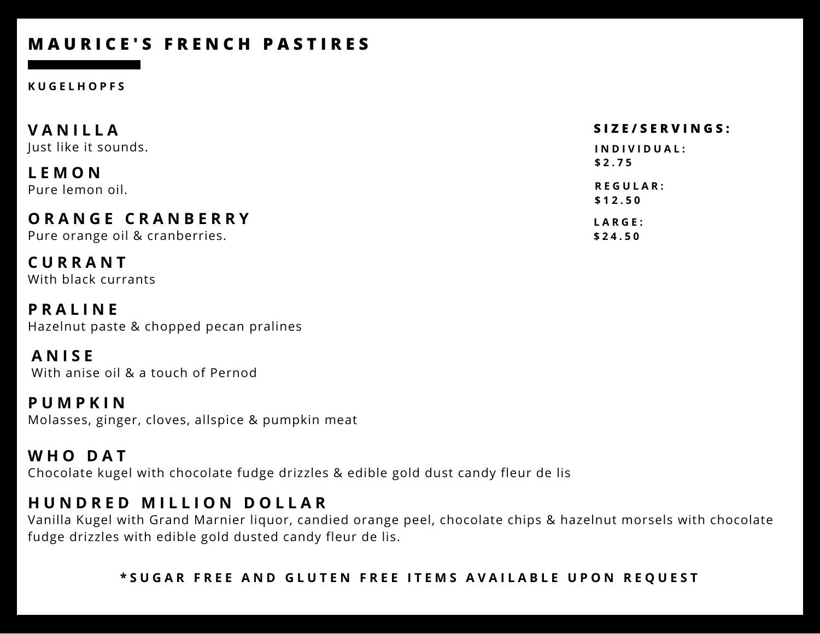#### **K U G E L H O P F S**

| <b>VANILLA</b>                 | SIZE/SERVINGS:  |
|--------------------------------|-----------------|
| Just like it sounds.           | INDIVIDUAL:     |
| <b>LEMON</b>                   | \$2.75          |
| Pure lemon oil.                | <b>REGULAR:</b> |
|                                | \$12.50         |
| ORANGE CRANBERRY               | LARGE:          |
| Pure orange oil & cranberries. | \$24.50         |

**C U R R A N T** With black currants

**P R A L I N E** Hazelnut paste & chopped pecan pralines

**A N I S E** With anise oil & a touch of Pernod

**P U M P K I N** Molasses, ginger, cloves, allspice & pumpkin meat

**W H O D A T** Chocolate kugel with chocolate fudge drizzles & edible gold dust candy fleur de lis

## **H U N D R E D M I L L I O N D O L L A R**

Vanilla Kugel with Grand Marnier liquor, candied orange peel, chocolate chips & hazelnut morsels with chocolate fudge drizzles with edible gold dusted candy fleur de lis.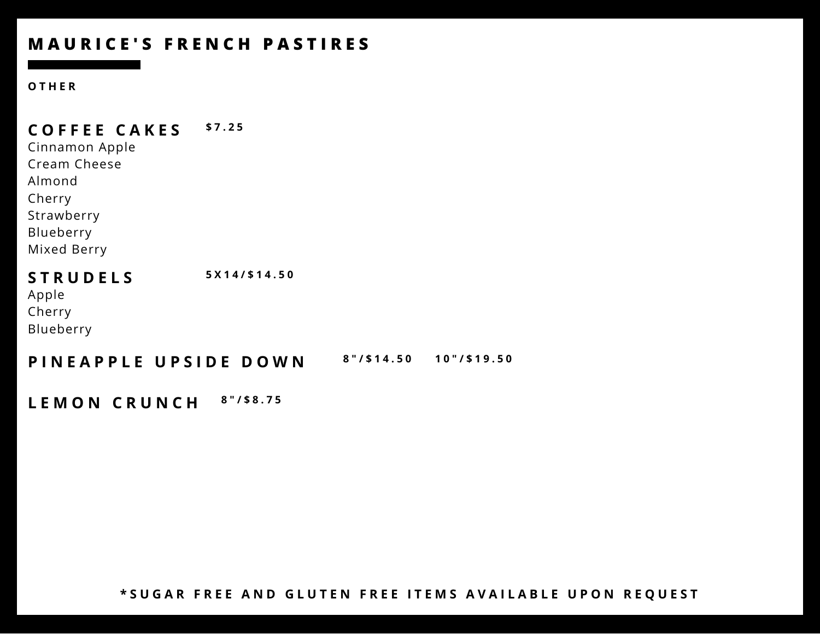#### **O T H E R**

**C O F F E E C A K E S \$ 7 . 2 5**

Cinnamon Apple Cream Cheese Almond Cherry Strawberry Blueberry Mixed Berry

**S T R U D E L S 5 X 1 4 / \$ 1 4 . 5 0** Apple Cherry Blueberry

**PINEAPPLE UPSIDE DOWN 8"/\$14.50 10"/\$19.50** 

**L E M O N C R U N C H <sup>8</sup> " / \$ <sup>8</sup> . <sup>7</sup> <sup>5</sup>**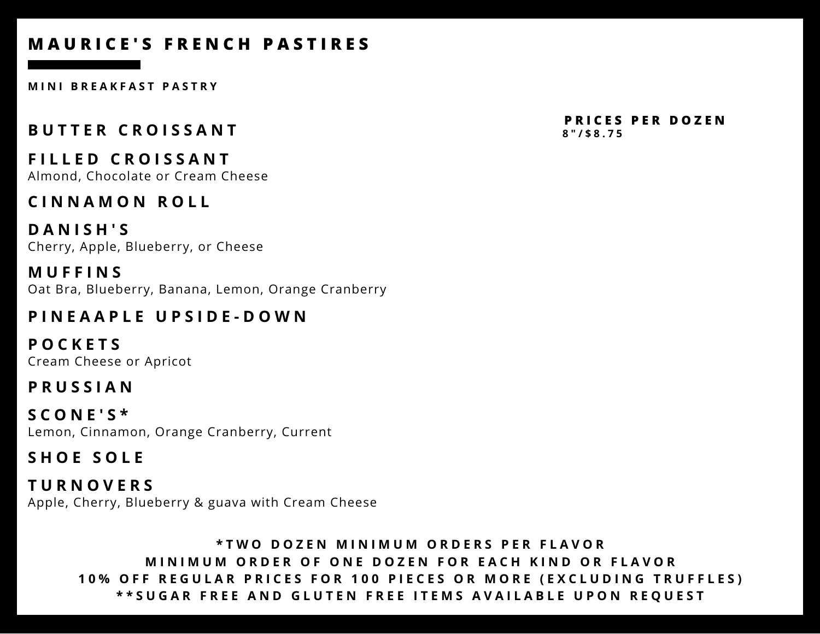**M I N I B R E A K F A S T P A S T R Y**

## **B U T T E R C R O I S S A N T**

Almond, Chocolate or Cream Cheese **F I L L E D C R O I S S A N T**

## **C I N N A M O N R O L L**

**D A N I S H ' S** Cherry, Apple, Blueberry, or Cheese

**M U F F I N S** Oat Bra, Blueberry, Banana, Lemon, Orange Cranberry

## **P I N E A A P L E U P S I D E - D O W N**

**P O C K E T S** Cream Cheese or Apricot

## **P R U S S I A N**

**S C O N E ' S \*** Lemon, Cinnamon, Orange Cranberry, Current

## **S H O E S O L E**

**T U R N O V E R S** Apple, Cherry, Blueberry & guava with Cream Cheese

#### **\*TWO DOZEN MINIMUM ORDERS PER FLAVOR** MINIMUM ORDER OF ONE DOZEN FOR EACH KIND OR FLAVOR 10% OFF REGULAR PRICES FOR 100 PIECES OR MORE (EXCLUDING TRUFFLES) \*\*SUGAR FREE AND GLUTEN FREE ITEMS AVAILABLE UPON REQUEST

**8 " / \$ 8 . 7 5 P R I C E S P E R D O Z E N**